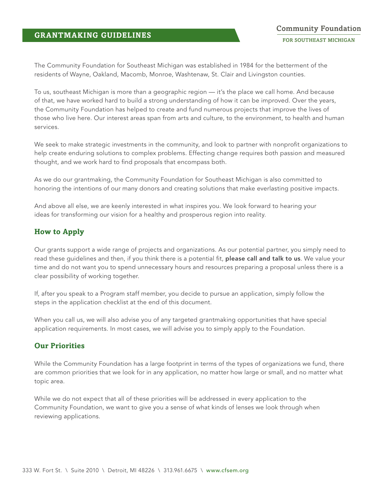The Community Foundation for Southeast Michigan was established in 1984 for the betterment of the residents of Wayne, Oakland, Macomb, Monroe, Washtenaw, St. Clair and Livingston counties.

To us, southeast Michigan is more than a geographic region — it's the place we call home. And because of that, we have worked hard to build a strong understanding of how it can be improved. Over the years, the Community Foundation has helped to create and fund numerous projects that improve the lives of those who live here. Our interest areas span from arts and culture, to the environment, to health and human services.

We seek to make strategic investments in the community, and look to partner with nonprofit organizations to help create enduring solutions to complex problems. Effecting change requires both passion and measured thought, and we work hard to find proposals that encompass both.

As we do our grantmaking, the Community Foundation for Southeast Michigan is also committed to honoring the intentions of our many donors and creating solutions that make everlasting positive impacts.

And above all else, we are keenly interested in what inspires you. We look forward to hearing your ideas for transforming our vision for a healthy and prosperous region into reality.

# **How to Apply**

Our grants support a wide range of projects and organizations. As our potential partner, you simply need to read these guidelines and then, if you think there is a potential fit, please call and talk to us. We value your time and do not want you to spend unnecessary hours and resources preparing a proposal unless there is a clear possibility of working together.

If, after you speak to a Program staff member, you decide to pursue an application, simply follow the steps in the application checklist at the end of this document.

When you call us, we will also advise you of any targeted grantmaking opportunities that have special application requirements. In most cases, we will advise you to simply apply to the Foundation.

# **Our Priorities**

While the Community Foundation has a large footprint in terms of the types of organizations we fund, there are common priorities that we look for in any application, no matter how large or small, and no matter what topic area.

While we do not expect that all of these priorities will be addressed in every application to the Community Foundation, we want to give you a sense of what kinds of lenses we look through when reviewing applications.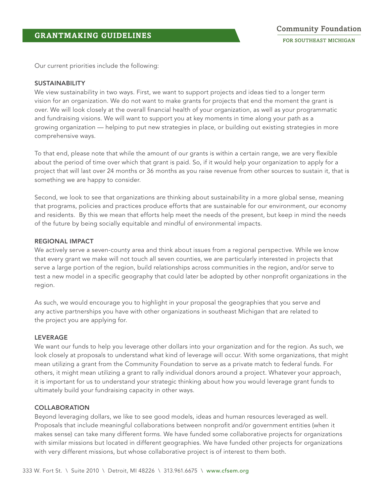Our current priorities include the following:

## SUSTAINABILITY

We view sustainability in two ways. First, we want to support projects and ideas tied to a longer term vision for an organization. We do not want to make grants for projects that end the moment the grant is over. We will look closely at the overall financial health of your organization, as well as your programmatic and fundraising visions. We will want to support you at key moments in time along your path as a growing organization — helping to put new strategies in place, or building out existing strategies in more comprehensive ways.

To that end, please note that while the amount of our grants is within a certain range, we are very flexible about the period of time over which that grant is paid. So, if it would help your organization to apply for a project that will last over 24 months or 36 months as you raise revenue from other sources to sustain it, that is something we are happy to consider.

Second, we look to see that organizations are thinking about sustainability in a more global sense, meaning that programs, policies and practices produce efforts that are sustainable for our environment, our economy and residents. By this we mean that efforts help meet the needs of the present, but keep in mind the needs of the future by being socially equitable and mindful of environmental impacts.

## REGIONAL IMPACT

We actively serve a seven-county area and think about issues from a regional perspective. While we know that every grant we make will not touch all seven counties, we are particularly interested in projects that serve a large portion of the region, build relationships across communities in the region, and/or serve to test a new model in a specific geography that could later be adopted by other nonprofit organizations in the region.

As such, we would encourage you to highlight in your proposal the geographies that you serve and any active partnerships you have with other organizations in southeast Michigan that are related to the project you are applying for.

## LEVERAGE

We want our funds to help you leverage other dollars into your organization and for the region. As such, we look closely at proposals to understand what kind of leverage will occur. With some organizations, that might mean utilizing a grant from the Community Foundation to serve as a private match to federal funds. For others, it might mean utilizing a grant to rally individual donors around a project. Whatever your approach, it is important for us to understand your strategic thinking about how you would leverage grant funds to ultimately build your fundraising capacity in other ways.

## COLLABORATION

Beyond leveraging dollars, we like to see good models, ideas and human resources leveraged as well. Proposals that include meaningful collaborations between nonprofit and/or government entities (when it makes sense) can take many different forms. We have funded some collaborative projects for organizations with similar missions but located in different geographies. We have funded other projects for organizations with very different missions, but whose collaborative project is of interest to them both.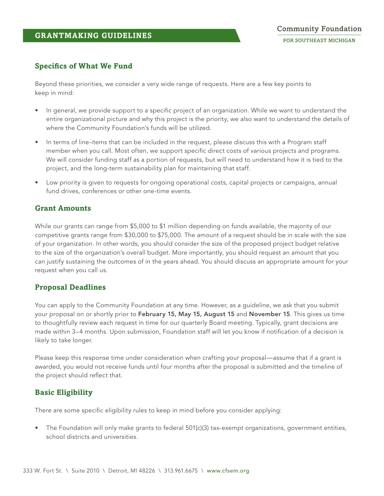# **Specifics of What We Fund**

Beyond these priorities, we consider a very wide range of requests. Here are a few key points to keep in mind:

- In general, we provide support to a specific project of an organization. While we want to understand the entire organizational picture and why this project is the priority, we also want to understand the details of where the Community Foundation's funds will be utilized.
- In terms of line-items that can be included in the request, please discuss this with a Program staff member when you call. Most often, we support specific direct costs of various projects and programs. We will consider funding staff as a portion of requests, but will need to understand how it is tied to the project, and the long-term sustainability plan for maintaining that staff.
- Low priority is given to requests for ongoing operational costs, capital projects or campaigns, annual fund drives, conferences or other one-time events.

# **Grant Amounts**

While our grants can range from \$5,000 to \$1 million depending on funds available, the majority of our competitive grants range from \$30,000 to \$75,000. The amount of a request should be in scale with the size of your organization. In other words, you should consider the size of the proposed project budget relative to the size of the organization's overall budget. More importantly, you should request an amount that you can justify sustaining the outcomes of in the years ahead. You should discuss an appropriate amount for your request when you call us.

# **Proposal Deadlines**

You can apply to the Community Foundation at any time. However, as a guideline, we ask that you submit your proposal on or shortly prior to February 15, May 15, August 15 and November 15. This gives us time to thoughtfully review each request in time for our quarterly Board meeting. Typically, grant decisions are made within 3–4 months. Upon submission, Foundation staff will let you know if notification of a decision is likely to take longer.

Please keep this response time under consideration when crafting your proposal—assume that if a grant is awarded, you would not receive funds until four months after the proposal is submitted and the timeline of the project should reflect that.

# **Basic Eligibility**

There are some specific eligibility rules to keep in mind before you consider applying:

The Foundation will only make grants to federal  $501(c)(3)$  tax-exempt organizations, government entities, school districts and universities.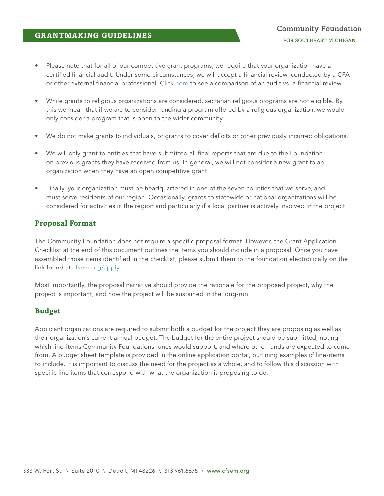## **GRANTMAKING GUIDELINES**

Please note that for all of our competitive grant programs, we require that your organization have a certified financial audit. Under some circumstances, we will accept a financial review, conducted by a CPA or other external financial professional. Click [here](https://cfsem.org/sites/cfsem.org/files/audit_vs_review_web.pdf) to see a comparison of an audit vs. a financial review.

**Community Foundation** FOR SOUTHEAST MICHIGAN

- While grants to religious organizations are considered, sectarian religious programs are not eligible. By this we mean that if we are to consider funding a program offered by a religious organization, we would only consider a program that is open to the wider community.
- We do not make grants to individuals, or grants to cover deficits or other previously incurred obligations.
- We will only grant to entities that have submitted all final reports that are due to the Foundation on previous grants they have received from us. In general, we will not consider a new grant to an organization when they have an open competitive grant.
- Finally, your organization must be headquartered in one of the seven counties that we serve, and must serve residents of our region. Occasionally, grants to statewide or national organizations will be considered for activities in the region and particularly if a local partner is actively involved in the project.

## **Proposal Format**

The Community Foundation does not require a specific proposal format. However, the Grant Application Checklist at the end of this document outlines the items you should include in a proposal. Once you have assembled those items identified in the checklist, please submit them to the foundation electronically on the link found at [cfsem.org/apply.](http://www.cfsem.org/apply)

Most importantly, the proposal narrative should provide the rationale for the proposed project, why the project is important, and how the project will be sustained in the long-run.

## **Budget**

Applicant organizations are required to submit both a budget for the project they are proposing as well as their organization's current annual budget. The budget for the entire project should be submitted, noting which line-items Community Foundations funds would support, and where other funds are expected to come from. A budget sheet template is provided in the online application portal, outlining examples of line-items to include. It is important to discuss the need for the project as a whole, and to follow this discussion with specific line items that correspond with what the organization is proposing to do.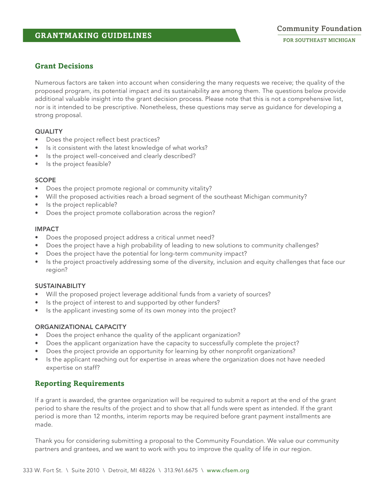# **Grant Decisions**

Numerous factors are taken into account when considering the many requests we receive; the quality of the proposed program, its potential impact and its sustainability are among them. The questions below provide additional valuable insight into the grant decision process. Please note that this is not a comprehensive list, nor is it intended to be prescriptive. Nonetheless, these questions may serve as guidance for developing a strong proposal.

## **QUALITY**

- Does the project reflect best practices?
- Is it consistent with the latest knowledge of what works?
- Is the project well-conceived and clearly described?
- Is the project feasible?

## **SCOPE**

- Does the project promote regional or community vitality?
- Will the proposed activities reach a broad segment of the southeast Michigan community?
- Is the project replicable?
- Does the project promote collaboration across the region?

## IMPACT

- Does the proposed project address a critical unmet need?
- Does the project have a high probability of leading to new solutions to community challenges?
- Does the project have the potential for long-term community impact?
- Is the project proactively addressing some of the diversity, inclusion and equity challenges that face our region?

## SUSTAINABILITY

- Will the proposed project leverage additional funds from a variety of sources?
- Is the project of interest to and supported by other funders?
- Is the applicant investing some of its own money into the project?

## ORGANIZATIONAL CAPACITY

- Does the project enhance the quality of the applicant organization?
- Does the applicant organization have the capacity to successfully complete the project?
- Does the project provide an opportunity for learning by other nonprofit organizations?
- Is the applicant reaching out for expertise in areas where the organization does not have needed expertise on staff?

# **Reporting Requirements**

If a grant is awarded, the grantee organization will be required to submit a report at the end of the grant period to share the results of the project and to show that all funds were spent as intended. If the grant period is more than 12 months, interim reports may be required before grant payment installments are made.

Thank you for considering submitting a proposal to the Community Foundation. We value our community partners and grantees, and we want to work with you to improve the quality of life in our region.